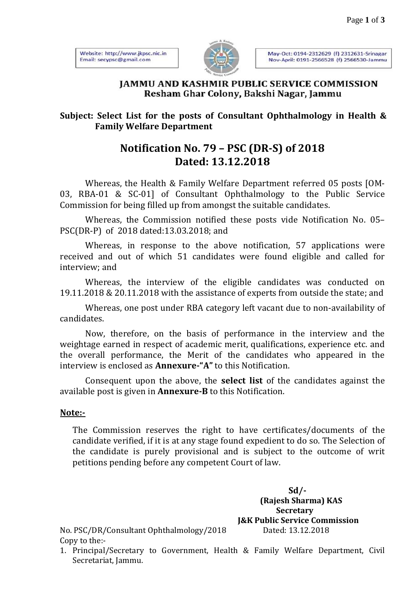Website: http://www.jkpsc.nic.in Email: secypsc@gmail.com



May-Oct: 0194-2312629 (f) 2312631-Srinagar Nov-April: 0191-2566528 (f) 2566530-Jammu

### **IAMMU AND KASHMIR PUBLIC SERVICE COMMISSION** Resham Ghar Colony, Bakshi Nagar, Jammu

### **Subject: Select List for the posts of Consultant Ophthalmology in Health & Family Welfare Department**

## **Notification No. 79 – PSC (DR-S) of 2018 Dated: 13.12.2018**

Whereas, the Health & Family Welfare Department referred 05 posts [OM-03, RBA-01 & SC-01] of Consultant Ophthalmology to the Public Service Commission for being filled up from amongst the suitable candidates.

Whereas, the Commission notified these posts vide Notification No. 05– PSC(DR-P) of 2018 dated:13.03.2018; and

Whereas, in response to the above notification, 57 applications were received and out of which 51 candidates were found eligible and called for interview; and

Whereas, the interview of the eligible candidates was conducted on 19.11.2018 & 20.11.2018 with the assistance of experts from outside the state; and

Whereas, one post under RBA category left vacant due to non-availability of candidates.

Now, therefore, on the basis of performance in the interview and the weightage earned in respect of academic merit, qualifications, experience etc. and the overall performance, the Merit of the candidates who appeared in the interview is enclosed as **Annexure-"A"** to this Notification.

Consequent upon the above, the **select list** of the candidates against the available post is given in **Annexure-B** to this Notification.

### **Note:-**

The Commission reserves the right to have certificates/documents of the candidate verified, if it is at any stage found expedient to do so. The Selection of the candidate is purely provisional and is subject to the outcome of writ petitions pending before any competent Court of law.

> **Sd/- (Rajesh Sharma) KAS Secretary J&K Public Service Commission**

No. PSC/DR/Consultant Ophthalmology/2018 Dated: 13.12.2018 Copy to the:-

1. Principal/Secretary to Government, Health & Family Welfare Department, Civil Secretariat, Jammu.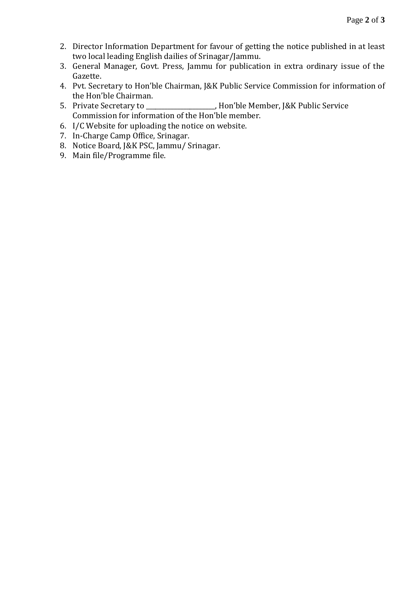- 2. Director Information Department for favour of getting the notice published in at least two local leading English dailies of Srinagar/Jammu.
- 3. General Manager, Govt. Press, Jammu for publication in extra ordinary issue of the Gazette.
- 4. Pvt. Secretary to Hon'ble Chairman, J&K Public Service Commission for information of the Hon'ble Chairman.
- 5. Private Secretary to \_\_\_\_\_\_\_\_\_\_\_\_\_\_\_\_\_\_\_\_\_\_, Hon'ble Member, J&K Public Service Commission for information of the Hon'ble member.
- 6. I/C Website for uploading the notice on website.
- 7. In-Charge Camp Office, Srinagar.
- 8. Notice Board, J&K PSC, Jammu/ Srinagar.
- 9. Main file/Programme file.